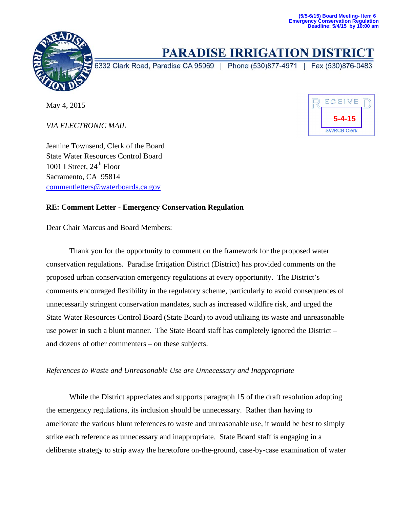

## **PARADISE IRRIGATION DISTRIC**

6332 Clark Road, Paradise CA 95969 | Phone (530)877-4971 | Fax (530)876-0483

May 4, 2015

*VIA ELECTRONIC MAIL*

ECEIVE **5-4-15SWRCB Clerk** 

Jeanine Townsend, Clerk of the Board State Water Resources Control Board 1001 I Street,  $24<sup>th</sup>$  Floor Sacramento, CA 95814 commentletters@waterboards.ca.gov

## **RE: Comment Letter - Emergency Conservation Regulation**

Dear Chair Marcus and Board Members:

 Thank you for the opportunity to comment on the framework for the proposed water conservation regulations. Paradise Irrigation District (District) has provided comments on the proposed urban conservation emergency regulations at every opportunity. The District's comments encouraged flexibility in the regulatory scheme, particularly to avoid consequences of unnecessarily stringent conservation mandates, such as increased wildfire risk, and urged the State Water Resources Control Board (State Board) to avoid utilizing its waste and unreasonable use power in such a blunt manner. The State Board staff has completely ignored the District – and dozens of other commenters – on these subjects.

## *References to Waste and Unreasonable Use are Unnecessary and Inappropriate*

 While the District appreciates and supports paragraph 15 of the draft resolution adopting the emergency regulations, its inclusion should be unnecessary. Rather than having to ameliorate the various blunt references to waste and unreasonable use, it would be best to simply strike each reference as unnecessary and inappropriate. State Board staff is engaging in a deliberate strategy to strip away the heretofore on-the-ground, case-by-case examination of water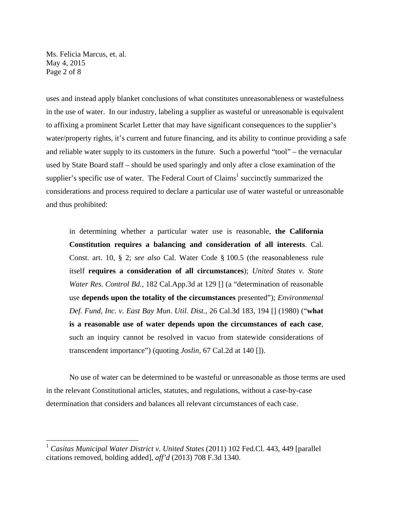Ms. Felicia Marcus, et. al. May 4, 2015 Page 2 of 8

 $\overline{a}$ 

uses and instead apply blanket conclusions of what constitutes unreasonableness or wastefulness in the use of water. In our industry, labeling a supplier as wasteful or unreasonable is equivalent to affixing a prominent Scarlet Letter that may have significant consequences to the supplier's water/property rights, it's current and future financing, and its ability to continue providing a safe and reliable water supply to its customers in the future. Such a powerful "tool" – the vernacular used by State Board staff – should be used sparingly and only after a close examination of the supplier's specific use of water. The Federal Court of Claims<sup>1</sup> succinctly summarized the considerations and process required to declare a particular use of water wasteful or unreasonable and thus prohibited:

in determining whether a particular water use is reasonable, **the California Constitution requires a balancing and consideration of all interests**. Cal. Const. art. 10, § 2; *see also* Cal. Water Code § 100.5 (the reasonableness rule itself **requires a consideration of all circumstances**); *United States v. State Water Res. Control Bd.,* 182 Cal.App.3d at 129 [] (a "determination of reasonable use **depends upon the totality of the circumstances** presented"); *Environmental Def. Fund, Inc. v. East Bay Mun. Util. Dist.,* 26 Cal.3d 183, 194 [] (1980) ("**what is a reasonable use of water depends upon the circumstances of each case**, such an inquiry cannot be resolved in vacuo from statewide considerations of transcendent importance") (quoting *Joslin,* 67 Cal.2d at 140 []).

 No use of water can be determined to be wasteful or unreasonable as those terms are used in the relevant Constitutional articles, statutes, and regulations, without a case-by-case determination that considers and balances all relevant circumstances of each case.

<sup>1</sup> *Casitas Municipal Water District v. United States* (2011) 102 Fed.Cl. 443, 449 [parallel citations removed, bolding added], *aff'd* (2013) 708 F.3d 1340.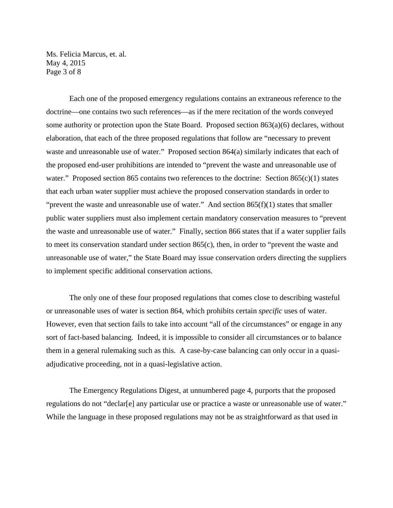Ms. Felicia Marcus, et. al. May 4, 2015 Page 3 of 8

 Each one of the proposed emergency regulations contains an extraneous reference to the doctrine—one contains two such references—as if the mere recitation of the words conveyed some authority or protection upon the State Board. Proposed section 863(a)(6) declares, without elaboration, that each of the three proposed regulations that follow are "necessary to prevent waste and unreasonable use of water." Proposed section 864(a) similarly indicates that each of the proposed end-user prohibitions are intended to "prevent the waste and unreasonable use of water." Proposed section 865 contains two references to the doctrine: Section 865(c)(1) states that each urban water supplier must achieve the proposed conservation standards in order to "prevent the waste and unreasonable use of water." And section  $865(f)(1)$  states that smaller public water suppliers must also implement certain mandatory conservation measures to "prevent the waste and unreasonable use of water." Finally, section 866 states that if a water supplier fails to meet its conservation standard under section 865(c), then, in order to "prevent the waste and unreasonable use of water," the State Board may issue conservation orders directing the suppliers to implement specific additional conservation actions.

 The only one of these four proposed regulations that comes close to describing wasteful or unreasonable uses of water is section 864, which prohibits certain *specific* uses of water. However, even that section fails to take into account "all of the circumstances" or engage in any sort of fact-based balancing. Indeed, it is impossible to consider all circumstances or to balance them in a general rulemaking such as this. A case-by-case balancing can only occur in a quasiadjudicative proceeding, not in a quasi-legislative action.

 The Emergency Regulations Digest, at unnumbered page 4, purports that the proposed regulations do not "declar[e] any particular use or practice a waste or unreasonable use of water." While the language in these proposed regulations may not be as straightforward as that used in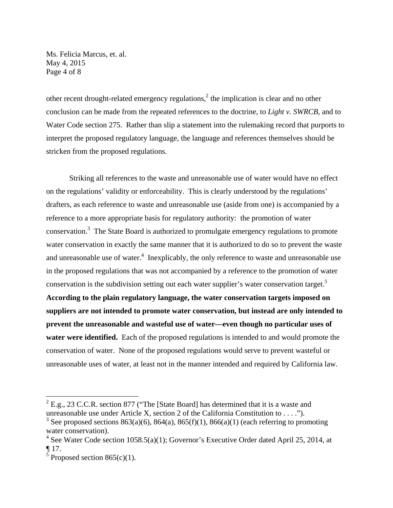Ms. Felicia Marcus, et. al. May 4, 2015 Page 4 of 8

other recent drought-related emergency regulations,<sup>2</sup> the implication is clear and no other conclusion can be made from the repeated references to the doctrine, to *Light v. SWRCB*, and to Water Code section 275. Rather than slip a statement into the rulemaking record that purports to interpret the proposed regulatory language, the language and references themselves should be stricken from the proposed regulations.

 Striking all references to the waste and unreasonable use of water would have no effect on the regulations' validity or enforceability. This is clearly understood by the regulations' drafters, as each reference to waste and unreasonable use (aside from one) is accompanied by a reference to a more appropriate basis for regulatory authority: the promotion of water conservation.<sup>3</sup> The State Board is authorized to promulgate emergency regulations to promote water conservation in exactly the same manner that it is authorized to do so to prevent the waste and unreasonable use of water.<sup>4</sup> Inexplicably, the only reference to waste and unreasonable use in the proposed regulations that was not accompanied by a reference to the promotion of water conservation is the subdivision setting out each water supplier's water conservation target.<sup>5</sup> **According to the plain regulatory language, the water conservation targets imposed on suppliers are not intended to promote water conservation, but instead are only intended to prevent the unreasonable and wasteful use of water—even though no particular uses of water were identified.** Each of the proposed regulations is intended to and would promote the conservation of water. None of the proposed regulations would serve to prevent wasteful or unreasonable uses of water, at least not in the manner intended and required by California law.

1

 $2$  E.g., 23 C.C.R. section 877 ("The [State Board] has determined that it is a waste and unreasonable use under Article X, section 2 of the California Constitution to . . . .").

<sup>&</sup>lt;sup>3</sup> See proposed sections 863(a)(6), 864(a), 865(f)(1), 866(a)(1) (each referring to promoting water conservation).

<sup>&</sup>lt;sup>4</sup> See Water Code section 1058.5(a)(1); Governor's Executive Order dated April 25, 2014, at ¶ 17.

 $5$  Proposed section 865(c)(1).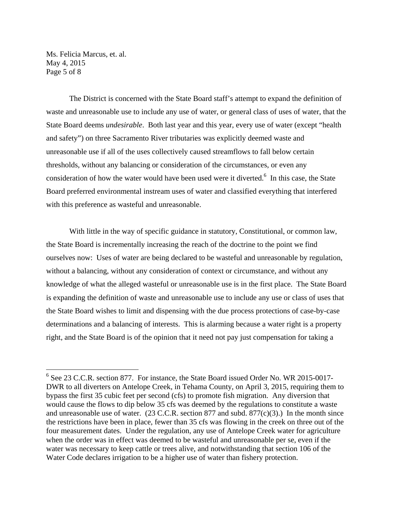Ms. Felicia Marcus, et. al. May 4, 2015 Page 5 of 8

 $\overline{a}$ 

 The District is concerned with the State Board staff's attempt to expand the definition of waste and unreasonable use to include any use of water, or general class of uses of water, that the State Board deems *undesirable*. Both last year and this year, every use of water (except "health and safety") on three Sacramento River tributaries was explicitly deemed waste and unreasonable use if all of the uses collectively caused streamflows to fall below certain thresholds, without any balancing or consideration of the circumstances, or even any consideration of how the water would have been used were it diverted.<sup>6</sup> In this case, the State Board preferred environmental instream uses of water and classified everything that interfered with this preference as wasteful and unreasonable.

 With little in the way of specific guidance in statutory, Constitutional, or common law, the State Board is incrementally increasing the reach of the doctrine to the point we find ourselves now: Uses of water are being declared to be wasteful and unreasonable by regulation, without a balancing, without any consideration of context or circumstance, and without any knowledge of what the alleged wasteful or unreasonable use is in the first place. The State Board is expanding the definition of waste and unreasonable use to include any use or class of uses that the State Board wishes to limit and dispensing with the due process protections of case-by-case determinations and a balancing of interests. This is alarming because a water right is a property right, and the State Board is of the opinion that it need not pay just compensation for taking a

<sup>&</sup>lt;sup>6</sup> See 23 C.C.R. section 877. For instance, the State Board issued Order No. WR 2015-0017-DWR to all diverters on Antelope Creek, in Tehama County, on April 3, 2015, requiring them to bypass the first 35 cubic feet per second (cfs) to promote fish migration. Any diversion that would cause the flows to dip below 35 cfs was deemed by the regulations to constitute a waste and unreasonable use of water.  $(23 \text{ C.C.R. section } 877 \text{ and subd. } 877(c)(3)$ .) In the month since the restrictions have been in place, fewer than 35 cfs was flowing in the creek on three out of the four measurement dates. Under the regulation, any use of Antelope Creek water for agriculture when the order was in effect was deemed to be wasteful and unreasonable per se, even if the water was necessary to keep cattle or trees alive, and notwithstanding that section 106 of the Water Code declares irrigation to be a higher use of water than fishery protection.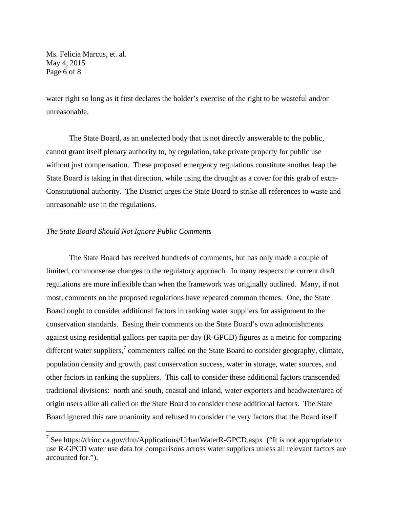Ms. Felicia Marcus, et. al. May 4, 2015 Page 6 of 8

 $\overline{a}$ 

water right so long as it first declares the holder's exercise of the right to be wasteful and/or unreasonable.

The State Board, as an unelected body that is not directly answerable to the public, cannot grant itself plenary authority to, by regulation, take private property for public use without just compensation. These proposed emergency regulations constitute another leap the State Board is taking in that direction, while using the drought as a cover for this grab of extra-Constitutional authority. The District urges the State Board to strike all references to waste and unreasonable use in the regulations.

## *The State Board Should Not Ignore Public Comments*

 The State Board has received hundreds of comments, but has only made a couple of limited, commonsense changes to the regulatory approach. In many respects the current draft regulations are more inflexible than when the framework was originally outlined. Many, if not most, comments on the proposed regulations have repeated common themes. One, the State Board ought to consider additional factors in ranking water suppliers for assignment to the conservation standards. Basing their comments on the State Board's own admonishments against using residential gallons per capita per day (R-GPCD) figures as a metric for comparing different water suppliers, $\frac{7}{7}$  commenters called on the State Board to consider geography, climate, population density and growth, past conservation success, water in storage, water sources, and other factors in ranking the suppliers. This call to consider these additional factors transcended traditional divisions: north and south, coastal and inland, water exporters and headwater/area of origin users alike all called on the State Board to consider these additional factors. The State Board ignored this rare unanimity and refused to consider the very factors that the Board itself

<sup>&</sup>lt;sup>7</sup> See https://drinc.ca.gov/dnn/Applications/UrbanWaterR-GPCD.aspx ("It is not appropriate to use R-GPCD water use data for comparisons across water suppliers unless all relevant factors are accounted for.").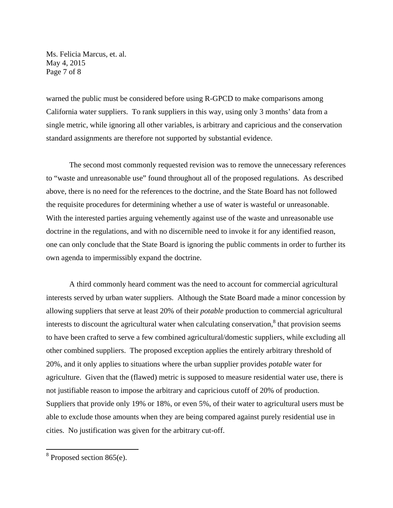Ms. Felicia Marcus, et. al. May 4, 2015 Page 7 of 8

warned the public must be considered before using R-GPCD to make comparisons among California water suppliers. To rank suppliers in this way, using only 3 months' data from a single metric, while ignoring all other variables, is arbitrary and capricious and the conservation standard assignments are therefore not supported by substantial evidence.

 The second most commonly requested revision was to remove the unnecessary references to "waste and unreasonable use" found throughout all of the proposed regulations. As described above, there is no need for the references to the doctrine, and the State Board has not followed the requisite procedures for determining whether a use of water is wasteful or unreasonable. With the interested parties arguing vehemently against use of the waste and unreasonable use doctrine in the regulations, and with no discernible need to invoke it for any identified reason, one can only conclude that the State Board is ignoring the public comments in order to further its own agenda to impermissibly expand the doctrine.

 A third commonly heard comment was the need to account for commercial agricultural interests served by urban water suppliers. Although the State Board made a minor concession by allowing suppliers that serve at least 20% of their *potable* production to commercial agricultural interests to discount the agricultural water when calculating conservation, $\delta$  that provision seems to have been crafted to serve a few combined agricultural/domestic suppliers, while excluding all other combined suppliers. The proposed exception applies the entirely arbitrary threshold of 20%, and it only applies to situations where the urban supplier provides *potable* water for agriculture. Given that the (flawed) metric is supposed to measure residential water use, there is not justifiable reason to impose the arbitrary and capricious cutoff of 20% of production. Suppliers that provide only 19% or 18%, or even 5%, of their water to agricultural users must be able to exclude those amounts when they are being compared against purely residential use in cities. No justification was given for the arbitrary cut-off.

<u>.</u>

 $8$  Proposed section 865(e).